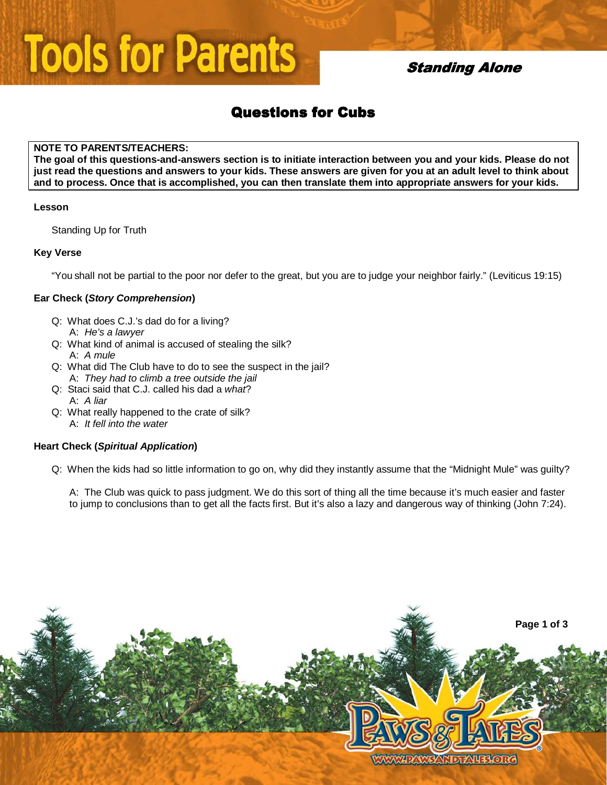# **Tools for Parents**

## **Standing Alone**

# **Questions for Cubs**

#### **NOTE TO PARENTS/TEACHERS:**

**The goal of this questions-and-answers section is to initiate interaction between you and your kids. Please do not just read the questions and answers to your kids. These answers are given for you at an adult level to think about and to process. Once that is accomplished, you can then translate them into appropriate answers for your kids.** 

#### **Lesson**

Standing Up for Truth

#### **Key Verse**

"You shall not be partial to the poor nor defer to the great, but you are to judge your neighbor fairly." (Leviticus 19:15)

#### **Ear Check (Story Comprehension)**

- Q: What does C.J.'s dad do for a living? A: He's a lawyer
- Q: What kind of animal is accused of stealing the silk? A: A mule
- Q: What did The Club have to do to see the suspect in the jail? A: They had to climb a tree outside the jail
- Q: Staci said that C.J. called his dad a what? A: A liar
- Q: What really happened to the crate of silk? A: It fell into the water

#### **Heart Check (Spiritual Application)**

Q: When the kids had so little information to go on, why did they instantly assume that the "Midnight Mule" was guilty?

A: The Club was quick to pass judgment. We do this sort of thing all the time because it's much easier and faster to jump to conclusions than to get all the facts first. But it's also a lazy and dangerous way of thinking (John 7:24).

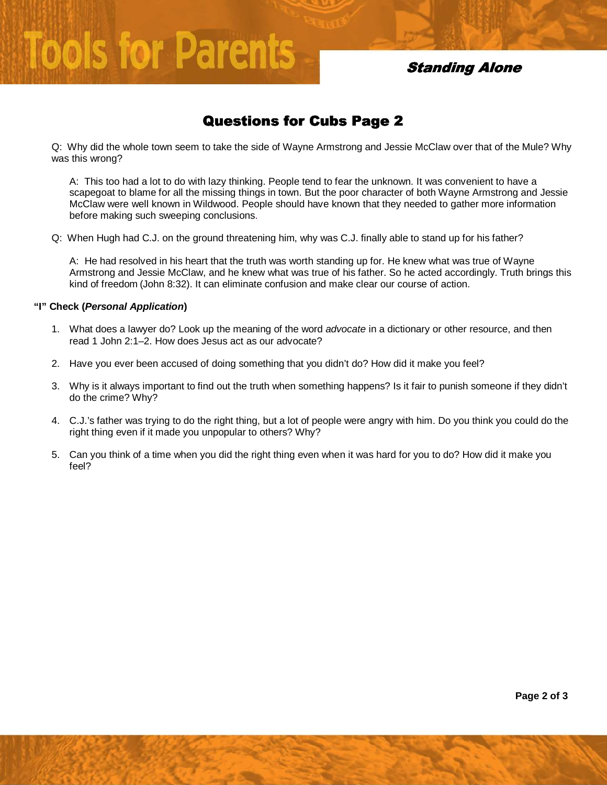**Standing Alone** 

## Questions for Cubs Page 2

Q: Why did the whole town seem to take the side of Wayne Armstrong and Jessie McClaw over that of the Mule? Why was this wrong?

A: This too had a lot to do with lazy thinking. People tend to fear the unknown. It was convenient to have a scapegoat to blame for all the missing things in town. But the poor character of both Wayne Armstrong and Jessie McClaw were well known in Wildwood. People should have known that they needed to gather more information before making such sweeping conclusions.

Q: When Hugh had C.J. on the ground threatening him, why was C.J. finally able to stand up for his father?

A: He had resolved in his heart that the truth was worth standing up for. He knew what was true of Wayne Armstrong and Jessie McClaw, and he knew what was true of his father. So he acted accordingly. Truth brings this kind of freedom (John 8:32). It can eliminate confusion and make clear our course of action.

#### **"I" Check (Personal Application)**

**Tools for Parents** 

- 1. What does a lawyer do? Look up the meaning of the word *advocate* in a dictionary or other resource, and then read 1 John 2:1–2. How does Jesus act as our advocate?
- 2. Have you ever been accused of doing something that you didn't do? How did it make you feel?
- 3. Why is it always important to find out the truth when something happens? Is it fair to punish someone if they didn't do the crime? Why?
- 4. C.J.'s father was trying to do the right thing, but a lot of people were angry with him. Do you think you could do the right thing even if it made you unpopular to others? Why?
- 5. Can you think of a time when you did the right thing even when it was hard for you to do? How did it make you feel?